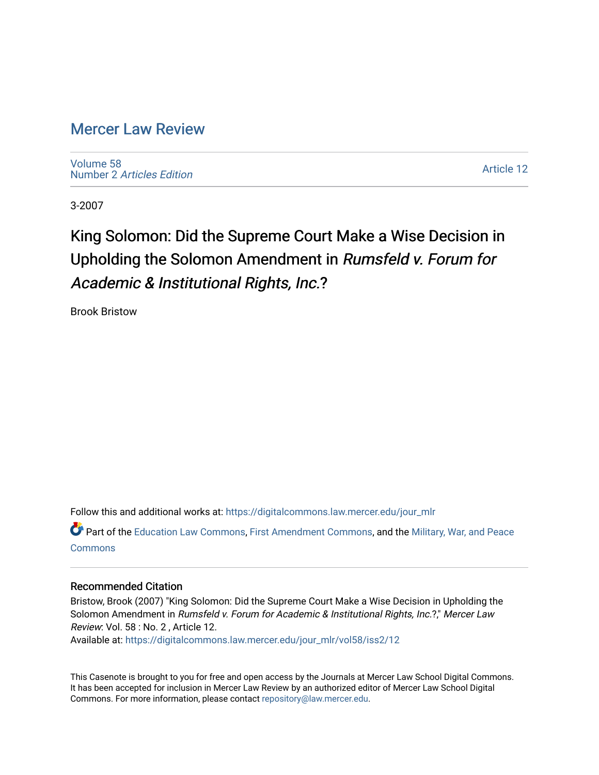# [Mercer Law Review](https://digitalcommons.law.mercer.edu/jour_mlr)

[Volume 58](https://digitalcommons.law.mercer.edu/jour_mlr/vol58) Number 2 [Articles Edition](https://digitalcommons.law.mercer.edu/jour_mlr/vol58/iss2) 

[Article 12](https://digitalcommons.law.mercer.edu/jour_mlr/vol58/iss2/12) 

3-2007

# King Solomon: Did the Supreme Court Make a Wise Decision in Upholding the Solomon Amendment in Rumsfeld v. Forum for Academic & Institutional Rights, Inc.?

Brook Bristow

Follow this and additional works at: [https://digitalcommons.law.mercer.edu/jour\\_mlr](https://digitalcommons.law.mercer.edu/jour_mlr?utm_source=digitalcommons.law.mercer.edu%2Fjour_mlr%2Fvol58%2Fiss2%2F12&utm_medium=PDF&utm_campaign=PDFCoverPages)

Part of the [Education Law Commons,](http://network.bepress.com/hgg/discipline/596?utm_source=digitalcommons.law.mercer.edu%2Fjour_mlr%2Fvol58%2Fiss2%2F12&utm_medium=PDF&utm_campaign=PDFCoverPages) [First Amendment Commons,](http://network.bepress.com/hgg/discipline/1115?utm_source=digitalcommons.law.mercer.edu%2Fjour_mlr%2Fvol58%2Fiss2%2F12&utm_medium=PDF&utm_campaign=PDFCoverPages) and the [Military, War, and Peace](http://network.bepress.com/hgg/discipline/861?utm_source=digitalcommons.law.mercer.edu%2Fjour_mlr%2Fvol58%2Fiss2%2F12&utm_medium=PDF&utm_campaign=PDFCoverPages)  **[Commons](http://network.bepress.com/hgg/discipline/861?utm_source=digitalcommons.law.mercer.edu%2Fjour_mlr%2Fvol58%2Fiss2%2F12&utm_medium=PDF&utm_campaign=PDFCoverPages)** 

## Recommended Citation

Bristow, Brook (2007) "King Solomon: Did the Supreme Court Make a Wise Decision in Upholding the Solomon Amendment in Rumsfeld v. Forum for Academic & Institutional Rights, Inc.?," Mercer Law Review: Vol. 58 : No. 2 , Article 12.

Available at: [https://digitalcommons.law.mercer.edu/jour\\_mlr/vol58/iss2/12](https://digitalcommons.law.mercer.edu/jour_mlr/vol58/iss2/12?utm_source=digitalcommons.law.mercer.edu%2Fjour_mlr%2Fvol58%2Fiss2%2F12&utm_medium=PDF&utm_campaign=PDFCoverPages) 

This Casenote is brought to you for free and open access by the Journals at Mercer Law School Digital Commons. It has been accepted for inclusion in Mercer Law Review by an authorized editor of Mercer Law School Digital Commons. For more information, please contact [repository@law.mercer.edu.](mailto:repository@law.mercer.edu)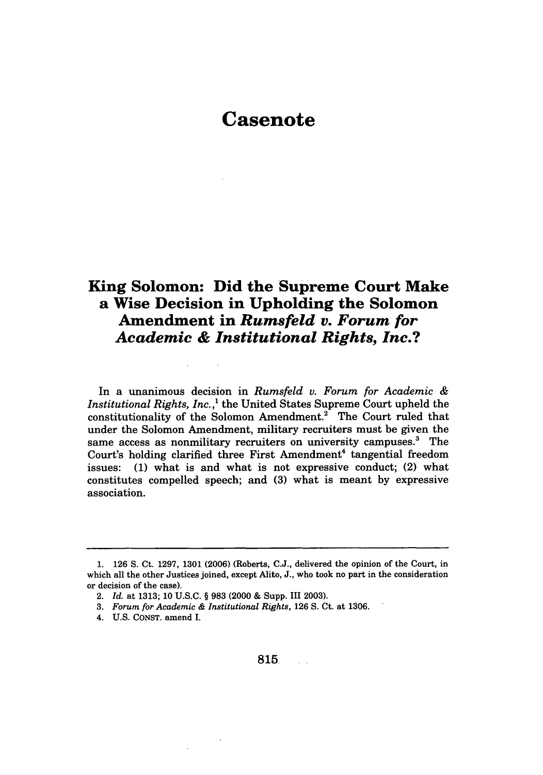# **Casenote**

## **King Solomon: Did the Supreme Court Make a Wise Decision in Upholding the Solomon Amendment in** *Rumsfeld v. Forum for Academic & Institutional Rights, Inc.?*

In a unanimous decision in *Rumsfeld v. Forum for Academic & Institutional Rights, Inc.,'* the United States Supreme Court upheld the constitutionality of the Solomon Amendment.<sup>2</sup> The Court ruled that under the Solomon Amendment, military recruiters must be given the same access as nonmilitary recruiters on university campuses.<sup>3</sup> The Court's holding clarified three First Amendment<sup>4</sup> tangential freedom issues: (1) what is and what is not expressive conduct; (2) what constitutes compelled speech; and **(3)** what is meant by expressive association.

**<sup>1.</sup>** 126 S. Ct. 1297, 1301 (2006) (Roberts, **C.J.,** delivered the opinion of the Court, in which all the other Justices joined, except Alito, J., who took no part in the consideration or decision of the case).

<sup>2.</sup> *Id.* at 1313; 10 U.S.C. § 983 (2000 & Supp. III 2003).

<sup>3.</sup> *Forum for Academic & Institutional Rights,* 126 S. Ct. at 1306.

<sup>4.</sup> U.S. **CONST.** amend I.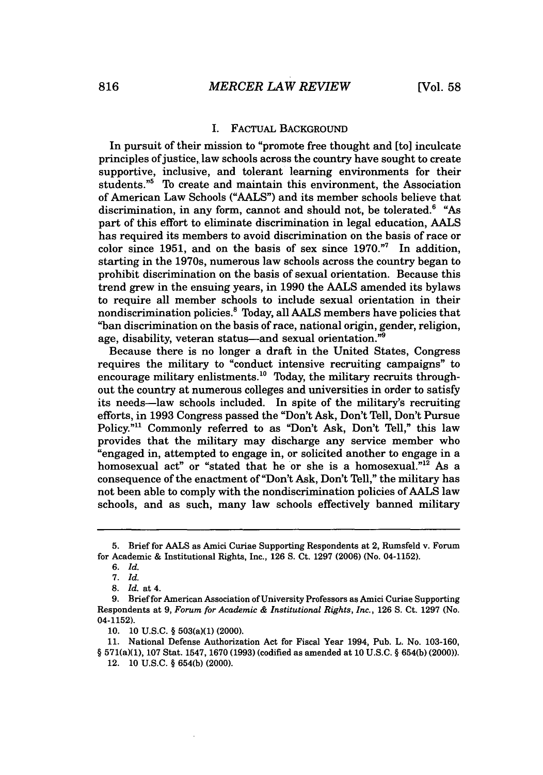#### I. FACTUAL **BACKGROUND**

In pursuit of their mission to "promote free thought and [to] inculcate principles of justice, law schools across the country have sought to create supportive, inclusive, and tolerant learning environments for their students."<sup>5</sup> To create and maintain this environment, the Association of American Law Schools **("AALS")** and its member schools believe that discrimination, in any form, cannot and should not, be tolerated. $6$  "As part of this effort to eliminate discrimination in legal education, **AALS** has required its members to avoid discrimination on the basis of race or color since **1951,** and on the basis of sex since **1970."'** In addition, starting in the 1970s, numerous law schools across the country began to prohibit discrimination on the basis of sexual orientation. Because this trend grew in the ensuing years, in **1990** the **AALS** amended its bylaws to require all member schools to include sexual orientation in their nondiscrimination policies.' Today, all **AALS** members have policies that "ban discrimination on the basis of race, national origin, gender, religion, age, disability, veteran status-and sexual orientation."<sup>9</sup>

Because there is no longer a draft in the United States, Congress requires the military to "conduct intensive recruiting campaigns" to encourage military enlistments.<sup>10</sup> Today, the military recruits throughout the country at numerous colleges and universities in order to satisfy its needs-law schools included. In spite of the military's recruiting efforts, in **1993** Congress passed the "Don't Ask, Don't Tell, Don't Pursue Policy."<sup>11</sup> Commonly referred to as "Don't Ask, Don't Tell," this law provides that the military may discharge any service member who "engaged in, attempted to engage in, or solicited another to engage in a homosexual act" or "stated that he or she is a homosexual."<sup>12</sup> As a consequence of the enactment of "Don't Ask, Don't Tell," the military has not been able to comply with the nondiscrimination policies of **AALS** law schools, and as such, many law schools effectively banned military

**<sup>5.</sup>** Brief for **AALS** as **Amici** Curiae Supporting Respondents at 2, Rumsfeld v. Forum for Academic **&** Institutional Rights, Inc., **126 S.** Ct. **1297 (2006)** (No. 04-1152).

*<sup>6.</sup> Id.*

**<sup>7.</sup>** *Id.*

**<sup>8.</sup>** *Id.* at 4.

**<sup>9.</sup>** Brief for American Association of University Professors as Amici Curiae Supporting Respondents at **9,** Forum *for Academic & Institutional Rights, Inc.,* **126 S.** Ct. **1297** (No. 04-1152).

**<sup>10. 10</sup> U.S.C. §** 503(a)(1) (2000).

**<sup>11.</sup>** National Defense Authorization Act for Fiscal Year 1994, Pub. L. No. **103-160, §** 571(a)(1), **107** Stat. 1547, **1670 (1993)** (codified as amended at **10 U.S.C. § 654(b)** (2000)).

<sup>12.</sup> **10 U.S.C. § 654(b)** (2000).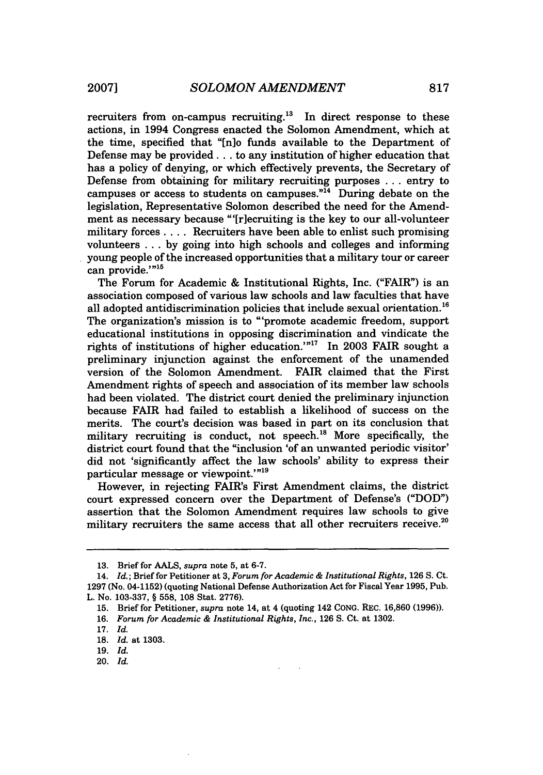recruiters from on-campus recruiting.<sup>13</sup> In direct response to these actions, in 1994 Congress enacted the Solomon Amendment, which at the time, specified that "[n]o funds available to the Department of Defense may be provided **...** to any institution of higher education that has a policy of denying, or which effectively prevents, the Secretary of Defense from obtaining for military recruiting purposes ... entry to campuses or access to students on campuses."<sup>14</sup> During debate on the legislation, Representative Solomon described the need for the Amendment as necessary because "'[riecruiting is the key to our all-volunteer military forces .... Recruiters have been able to enlist such promising volunteers ... by going into high schools and colleges and informing young people of the increased opportunities that a military tour or career can provide.'"<sup>15</sup>

The Forum for Academic & Institutional Rights, Inc. ("FAIR") is an association composed of various law schools and law faculties that have all adopted antidiscrimination policies that include sexual orientation.<sup>16</sup> The organization's mission is to "'promote academic freedom, support educational institutions in opposing discrimination and vindicate the rights of institutions of higher education.'"'' In 2003 FAIR sought a preliminary injunction against the enforcement of the unamended version of the Solomon Amendment. FAIR claimed that the First Amendment rights of speech and association of its member law schools had been violated. The district court denied the preliminary injunction because FAIR had failed to establish a likelihood of success on the merits. The court's decision was based in part on its conclusion that military recruiting is conduct, not speech. $^{18}$  More specifically, the district court found that the "inclusion 'of an unwanted periodic visitor' did not 'significantly affect the law schools' ability to express their particular message or viewpoint.'"<sup>19</sup>

However, in rejecting FAIR's First Amendment claims, the district court expressed concern over the Department of Defense's **("DOD")** assertion that the Solomon Amendment requires law schools to give military recruiters the same access that all other recruiters receive.<sup>20</sup>

20. *Id.*

**<sup>13.</sup>** Brief for **AALS,** *supra* note **5,** at **6-7.**

<sup>14.</sup> *Id.;* Brief for Petitioner at **3,** *Forum for Academic & Institutional Rights,* **126 S.** Ct. **1297** (No. 04-1152) (quoting National Defense Authorization Act for Fiscal Year **1995,** Pub. L. No. **103-337,** § **558, 108** Stat. **2776).**

**<sup>15.</sup>** Brief for Petitioner, *supra* note 14, at 4 (quoting 142 **CONG.** REC. **16,860 (1996)).**

**<sup>16.</sup>** *Forum for Academic & Institutional Rights, Inc.,* **126 S.** Ct. at **1302.**

**<sup>17.</sup>** *Id.*

**<sup>18.</sup>** *Id.* at **1303.**

**<sup>19.</sup>** Id.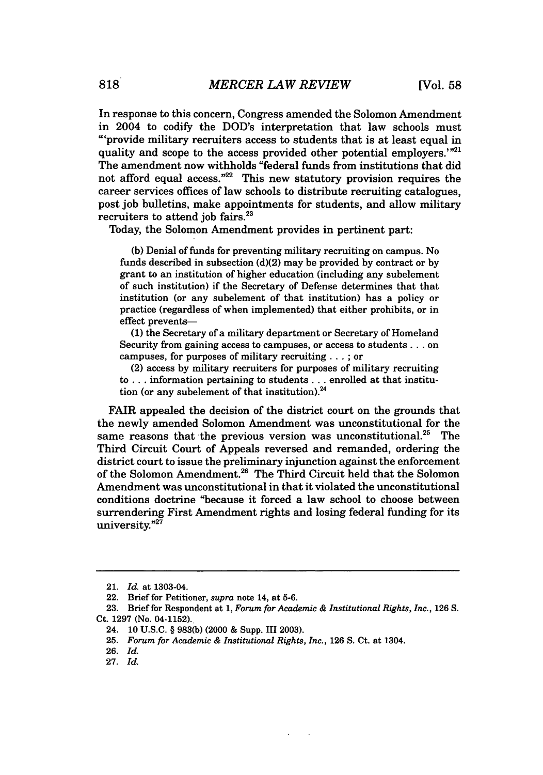In response to this concern, Congress amended the Solomon Amendment in 2004 to codify the DOD's interpretation that law schools must "'provide military recruiters access to students that is at least equal in quality and scope to the access provided other potential employers. $1^{n21}$ The amendment now withholds "federal funds from institutions that did not afford equal access. $"^{22}$  This new statutory provision requires the career services offices of law schools to distribute recruiting catalogues, post iob bulletins, make appointments for students, and allow military recruiters to attend job fairs.<sup>23</sup>

Today, the Solomon Amendment provides in pertinent part:

(b) Denial of funds for preventing military recruiting on campus. No funds described in subsection (d)(2) may be provided by contract or by grant to an institution of higher education (including any subelement of such institution) if the Secretary of Defense determines that that institution (or any subelement of that institution) has a policy or practice (regardless of when implemented) that either prohibits, or in effect prevents-

**(1)** the Secretary of a military department or Secretary of Homeland Security from gaining access to campuses, or access to students **...** on campuses, for purposes of military recruiting... ; or

(2) access by military recruiters for purposes of military recruiting to... information pertaining to students... enrolled at that institution (or any subelement of that institution). $^{24}$ 

FAIR appealed the decision of the district court on the grounds that the newly amended Solomon Amendment was unconstitutional for the same reasons that the previous version was unconstitutional.<sup>25</sup> The Third Circuit Court of Appeals reversed and remanded, ordering the district court to issue the preliminary injunction against the enforcement of the Solomon Amendment.<sup>26</sup> The Third Circuit held that the Solomon Amendment was unconstitutional in that it violated the unconstitutional conditions doctrine "because it forced a law school to choose between surrendering First Amendment rights and losing federal funding for its university."<sup>27</sup>

<sup>21.</sup> *Id.* at 1303-04.

<sup>22.</sup> Brief for Petitioner, *supra* note 14, at 5-6.

<sup>23.</sup> Brief for Respondent at 1, *Forum for Academic & Institutional Rights, Inc.,* 126 S. Ct. 1297 (No. 04-1152).

<sup>24. 10</sup> U.S.C. § 983(b) (2000 & Supp. III 2003).

<sup>25.</sup> *Forum for Academic & Institutional Rights, Inc.,* 126 S. Ct. at 1304.

<sup>26.</sup> *Id.*

<sup>27.</sup> *Id.*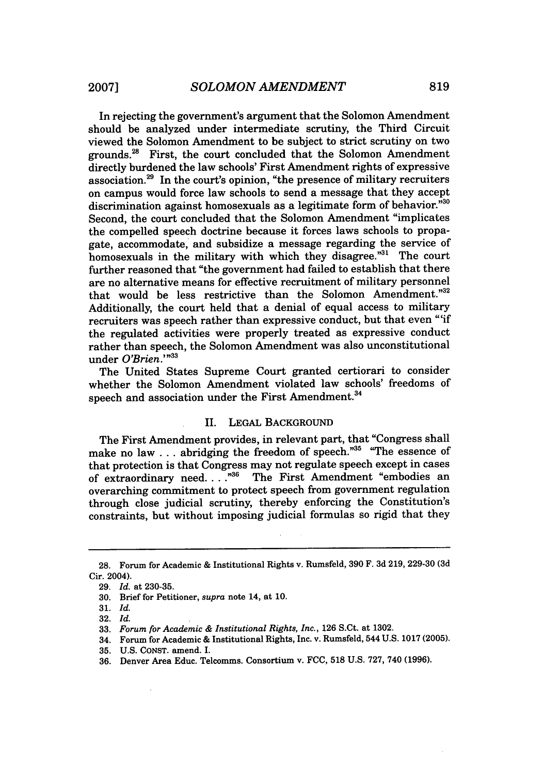In rejecting the government's argument that the Solomon Amendment should be analyzed under intermediate scrutiny, the Third Circuit viewed the Solomon Amendment to be subject to strict scrutiny on two grounds.<sup>28</sup> First, the court concluded that the Solomon Amendment directly burdened the law schools' First Amendment rights of expressive association.29 In the court's opinion, "the presence of military recruiters on campus would force law schools to send a message that they accept discrimination against homosexuals as a legitimate form of behavior."30 Second, the court concluded that the Solomon Amendment "implicates the compelled speech doctrine because it forces laws schools to propagate, accommodate, and subsidize a message regarding the service of homosexuals in the military with which they disagree."31 The court further reasoned that "the government had failed to establish that there are no alternative means for effective recruitment of military personnel that would be less restrictive than the Solomon Amendment."32 Additionally, the court held that a denial of equal access to military recruiters was speech rather than expressive conduct, but that even "'if the regulated activities were properly treated as expressive conduct rather than speech, the Solomon Amendment was also unconstitutional under *O'Brien.'"33*

The United States Supreme Court granted certiorari to consider whether the Solomon Amendment violated law schools' freedoms of speech and association under the First Amendment.<sup>34</sup>

#### II. LEGAL BACKGROUND

The First Amendment provides, in relevant part, that "Congress shall make no law . . . abridging the freedom of speech."<sup>35</sup> "The essence of that protection is that Congress may not regulate speech except in cases of extraordinary need....<sup>35</sup> The First Amendment "embodies an overarching commitment to protect speech from government regulation through close judicial scrutiny, thereby enforcing the Constitution's constraints, but without imposing judicial formulas so rigid that they

34. Forum for Academic & Institutional Rights, Inc. v. Rumsfeld, 544 U.S. 1017 (2005).

**<sup>28.</sup>** Forum for Academic & Institutional Rights v. Rumsfeld, **390** F. **3d** 219, 229-30 **(3d** Cir. 2004).

**<sup>29.</sup>** *Id.* at **230-35.**

**<sup>30.</sup>** Brief for Petitioner, *supra* note 14, at 10.

<sup>31.</sup> *Id.*

<sup>32.</sup> *Id.*

<sup>33.</sup> *Forum for Academic & Institutional Rights, Inc.,* 126 S.Ct. at 1302.

<sup>35.</sup> U.S. CONST. amend. I.

<sup>36.</sup> Denver Area Educ. Telcomms. Consortium v. FCC, 518 U.S. 727, 740 (1996).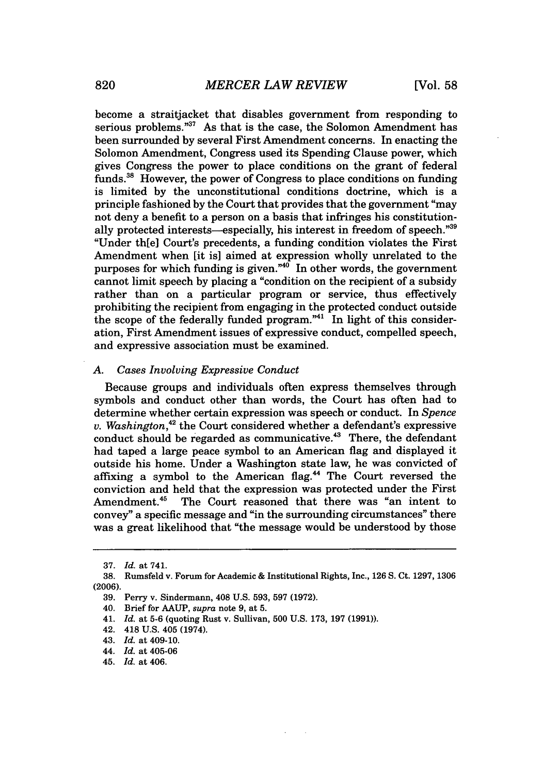become a straitjacket that disables government from responding to serious problems."<sup>37</sup> As that is the case, the Solomon Amendment has been surrounded by several First Amendment concerns. In enacting the Solomon Amendment, Congress used its Spending Clause power, which gives Congress the power to place conditions on the grant of federal funds.3" However, the power of Congress to place conditions on funding is limited by the unconstitutional conditions doctrine, which is a principle fashioned by the Court that provides that the government "may not deny a benefit to a person on a basis that infringes his constitutionally protected interests—especially, his interest in freedom of speech."39 "Under th[eI Court's precedents, a funding condition violates the First Amendment when [it is] aimed at expression wholly unrelated to the purposes for which funding is given." $40$  In other words, the government cannot limit speech by placing a "condition on the recipient of a subsidy rather than on a particular program or service, thus effectively prohibiting the recipient from engaging in the protected conduct outside the scope of the federally funded program."<sup>41</sup> In light of this consideration, First Amendment issues of expressive conduct, compelled speech, and expressive association must be examined.

#### *A. Cases Involving Expressive Conduct*

Because groups and individuals often express themselves through symbols and conduct other than words, the Court has often had to determine whether certain expression was speech or conduct. In *Spence v. Washington*,<sup>42</sup> the Court considered whether a defendant's expressive conduct should be regarded as communicative.<sup>43</sup> There, the defendant had taped a large peace symbol to an American flag and displayed it outside his home. Under a Washington state law, he was convicted of affixing a symbol to the American flag.<sup>44</sup> The Court reversed the conviction and held that the expression was protected under the First Amendment.<sup>45</sup> The Court reasoned that there was "an intent to convey" a specific message and "in the surrounding circumstances" there was a great likelihood that "the message would be understood by those

<sup>37.</sup> *Id.* at 741.

<sup>38.</sup> Rumsfeld v. Forum for Academic & Institutional Rights, Inc., 126 S. Ct. 1297, 1306 (2006).

<sup>39.</sup> Perry v. Sindermann, 408 U.S. 593, 597 (1972).

<sup>40.</sup> Brief for AAUP, *supra* note 9, at 5.

<sup>41.</sup> *Id.* at **5-6** (quoting Rust v. Sullivan, 500 U.S. 173, 197 (1991)).

<sup>42. 418</sup> U.S. 405 (1974).

<sup>43.</sup> *Id.* at 409-10.

<sup>44.</sup> *Id.* at 405-06

<sup>45.</sup> *Id.* at 406.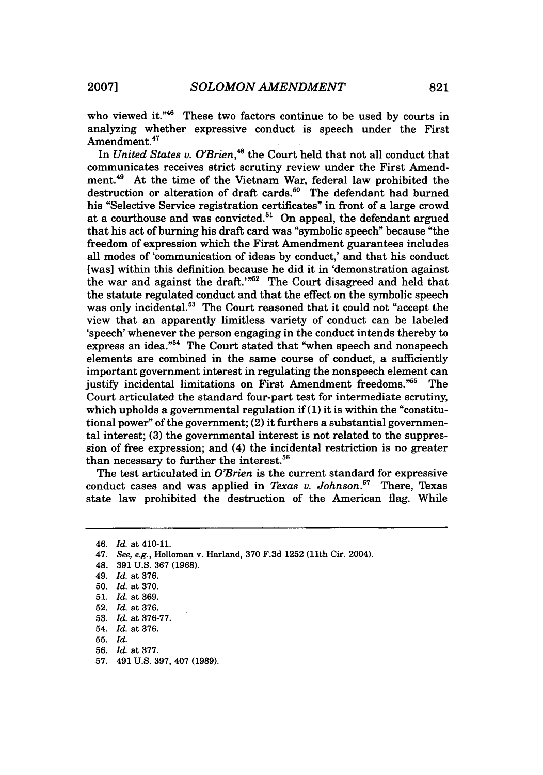who viewed it."46 These two factors continue to be used **by** courts in analyzing whether expressive conduct is speech under the First Amendment.<sup>47</sup>

In *United States v. O'Brien*,<sup>48</sup> the Court held that not all conduct that communicates receives strict scrutiny review under the First Amendment.49 At the time of the Vietnam War, federal law prohibited the destruction or alteration of draft cards.<sup>50</sup> The defendant had burned his "Selective Service registration certificates" in front of a large crowd at a courthouse and was convicted.<sup>51</sup> On appeal, the defendant argued that his act of burning his draft card was "symbolic speech" because "the freedom of expression which the First Amendment guarantees includes all modes of 'communication of ideas by conduct,' and that his conduct [was] within this definition because he did it in 'demonstration against the war and against the draft.'"<sup>52</sup> The Court disagreed and held that the statute regulated conduct and that the effect on the symbolic speech was only incidental.<sup>53</sup> The Court reasoned that it could not "accept the view that an apparently limitless variety of conduct can be labeled 'speech' whenever the person engaging in the conduct intends thereby to express an idea."<sup>54</sup> The Court stated that "when speech and nonspeech elements are combined in the same course of conduct, a sufficiently important government interest in regulating the nonspeech element can justify incidental limitations on First Amendment freedoms."55 The Court articulated the standard four-part test for intermediate scrutiny, which upholds a governmental regulation **if(1)** it is within the "constitutional power" of the government; (2) it furthers a substantial governmental interest; (3) the governmental interest is not related to the suppression of free expression; and (4) the incidental restriction is no greater than necessary to further the interest.<sup>56</sup>

The test articulated in *O'Brien* is the current standard for expressive conduct cases and was applied in *Texas v. Johnson.7* There, Texas state law prohibited the destruction of the American flag. While

<sup>46.</sup> *Id.* at 410-11.

<sup>47.</sup> *See, e.g.,* Holloman v. Harland, 370 F.3d 1252 (11th Cir. 2004).

<sup>48. 391</sup> U.S. 367 (1968).

<sup>49.</sup> *Id.* at 376.

<sup>50.</sup> *Id.* at 370.

<sup>51.</sup> *Id.* at 369.

<sup>52.</sup> *Id.* at 376.

<sup>53.</sup> *Id.* at 376-77.

<sup>54.</sup> *Id.* at 376.

<sup>55.</sup> *Id.*

<sup>56.</sup> *Id.* at 377.

<sup>57. 491</sup> U.S. 397, 407 (1989).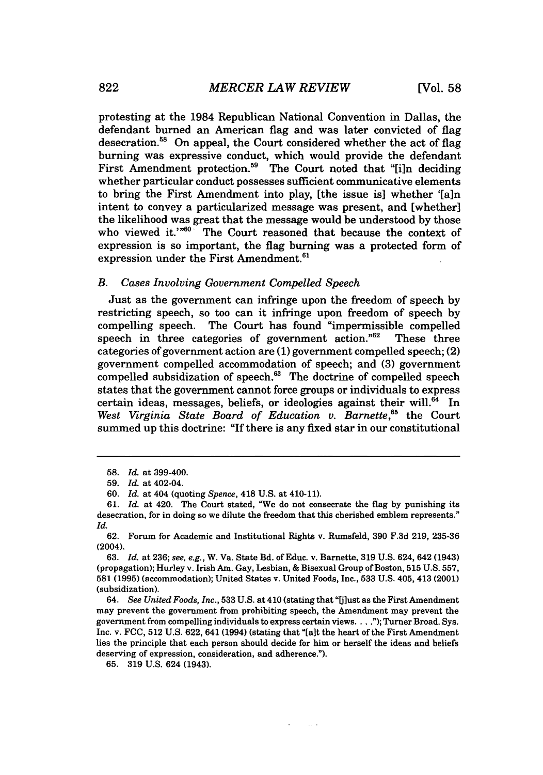protesting at the 1984 Republican National Convention in Dallas, the defendant burned an American flag and was later convicted of flag desecration.<sup>58</sup> On appeal, the Court considered whether the act of flag burning was expressive conduct, which would provide the defendant First Amendment protection.<sup>59</sup> The Court noted that "[i]n deciding whether particular conduct possesses sufficient communicative elements to bring the First Amendment into play, [the issue is] whether '[a]n intent to convey a particularized message was present, and [whether] the likelihood was great that the message would be understood by those who viewed it." $60$  The Court reasoned that because the context of expression is so important, the flag burning was a protected form of expression under the First Amendment.<sup>61</sup>

#### *B. Cases Involving Government Compelled Speech*

Just as the government can infringe upon the freedom of speech by restricting speech, so too can it infringe upon freedom of speech by compelling speech. The Court has found "impermissible compelled speech in three categories of government action."62 These three categories of government action are (1) government compelled speech; (2) government compelled accommodation of speech; and (3) government compelled subsidization of speech. $63$  The doctrine of compelled speech states that the government cannot force groups or individuals to express certain ideas, messages, beliefs, or ideologies against their will.<sup>64</sup> In *West Virginia State Board of Education v. Barnette,5* the Court summed up this doctrine: "If there is any fixed star in our constitutional

64. *See United Foods, Inc.,* 533 U.S. at 410 (stating that "Ulust as the First Amendment may prevent the government from prohibiting speech, the Amendment may prevent the government from compelling individuals to express certain views.... **.");** Turner Broad. Sys. Inc. v. FCC, 512 U.S. 622, 641 (1994) (stating that "[alt the heart of the First Amendment lies the principle that each person should decide for him or herself the ideas and beliefs deserving of expression, consideration, and adherence.").

 $\sim 10^{-1}$ 

65. 319 U.S. 624 (1943).

<sup>58.</sup> *Id.* at 399-400.

<sup>59.</sup> *Id.* at 402-04.

<sup>60.</sup> *Id.* at 404 (quoting *Spence,* 418 U.S. at 410-11).

<sup>61.</sup> *Id.* at 420. The Court stated, "We do not consecrate the flag by punishing its desecration, for in doing so we dilute the freedom that this cherished emblem represents." *Id.*

<sup>62.</sup> Forum for Academic and Institutional Rights v. Rumsfeld, 390 **F.3d** 219, 235-36 (2004).

**<sup>63.</sup>** *Id.* at **236;** see, e.g., W. Va. State Bd. of Educ. v. Barnette, **319** U.S. 624, 642 (1943) (propagation); Hurley v. Irish Am. Gay, Lesbian, **&** Bisexual Group of Boston, 515 U.S. **557,** 581 (1995) (accommodation); United States v. United Foods, Inc., **533** U.S. 405, 413 (2001) (subsidization).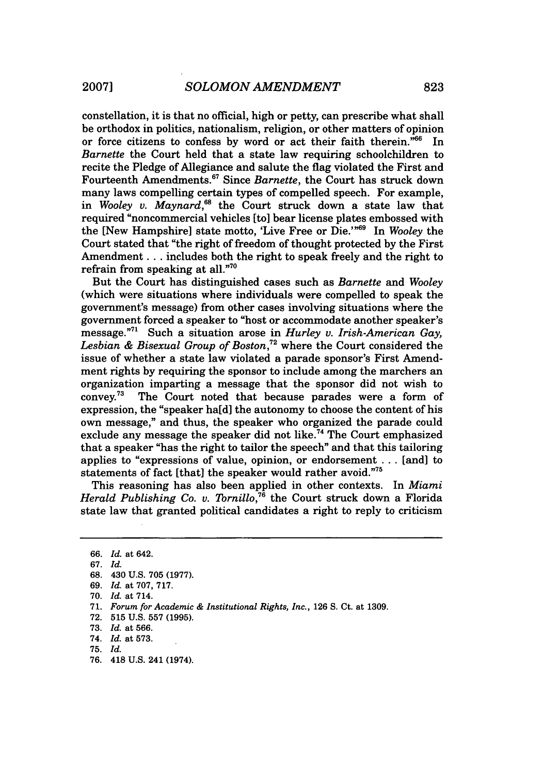constellation, it is that no official, high or petty, can prescribe what shall be orthodox in politics, nationalism, religion, or other matters of opinion or force citizens to confess by word or act their faith therein."66 In *Barnette* the Court held that a state law requiring schoolchildren to recite the Pledge of Allegiance and salute the flag violated the First and Fourteenth Amendments.67 Since *Barnette,* the Court has struck down many laws compelling certain types of compelled speech. For example, in *Wooley v. Maynard,"8* the Court struck down a state law that required "noncommercial vehicles [to] bear license plates embossed with the [New Hampshire] state motto, 'Live Free or Die.'<sup>"69</sup> In *Wooley* the Court stated that "the right of freedom of thought protected by the First Amendment... includes both the right to speak freely and the right to refrain from speaking at all."7°

But the Court has distinguished cases such as *Barnette* and *Wooley* (which were situations where individuals were compelled to speak the government's message) from other cases involving situations where the government forced a speaker to "host or accommodate another speaker's message."7 Such a situation arose in *Hurley* v. *Irish-American Gay, Lesbian & Bisexual Group of Boston,72* where the Court considered the issue of whether a state law violated a parade sponsor's First Amendment rights by requiring the sponsor to include among the marchers an organization imparting a message that the sponsor did not wish to convey.73 The Court noted that because parades were a form of expression, the "speaker ha[d] the autonomy to choose the content of his own message," and thus, the speaker who organized the parade could exclude any message the speaker did not like.<sup>74</sup> The Court emphasized that a speaker "has the right to tailor the speech" and that this tailoring applies to "expressions of value, opinion, or endorsement ... [and] to statements of fact [that] the speaker would rather avoid."75

This reasoning has also been applied in other contexts. In *Miami Herald Publishing Co. v. Tornillo*,<sup>76</sup> the Court struck down a Florida state law that granted political candidates a right to reply to criticism

<sup>66.</sup> *Id.* at 642.

<sup>67.</sup> *Id.*

<sup>68. 430</sup> U.S. 705 (1977).

<sup>69.</sup> *Id.* at 707, 717.

<sup>70.</sup> *Id.* at 714.

<sup>71.</sup> *Forum for Academic & Institutional Rights, Inc.,* 126 S. Ct. at 1309.

<sup>72. 515</sup> U.S. 557 (1995).

<sup>73.</sup> *Id.* at 566.

<sup>74.</sup> *Id.* at 573.

**<sup>75.</sup>** *Id.*

<sup>76. 418</sup> U.S. 241 (1974).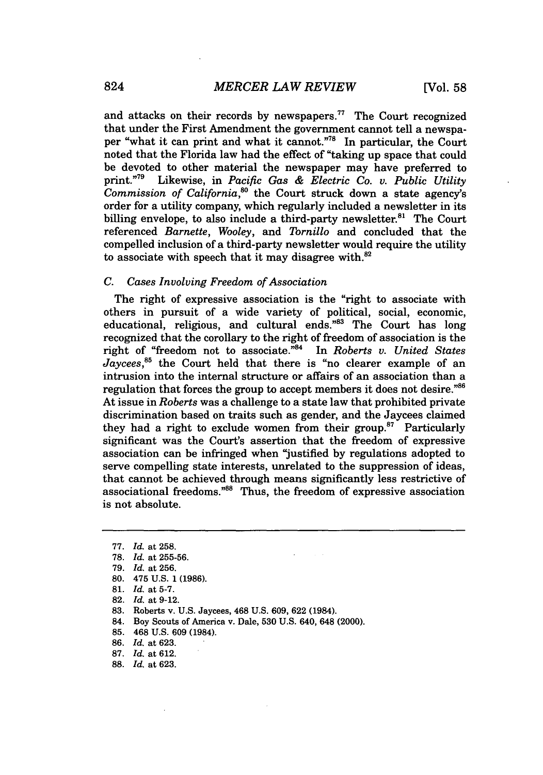and attacks on their records by newspapers.<sup>77</sup> The Court recognized that under the First Amendment the government cannot tell a newspaper "what it can print and what it cannot."<sup>78</sup> In particular, the Court noted that the Florida law had the effect of "taking up space that could be devoted to other material the newspaper may have preferred to print."79 Likewise, in *Pacific Gas & Electric Co. v. Public Utility Commission of California,°* the Court struck down a state agency's order for a utility company, which regularly included a newsletter in its billing envelope, to also include a third-party newsletter.<sup>81</sup> The Court referenced *Barnette, Wooley,* and *Tornillo* and concluded that the compelled inclusion of a third-party newsletter would require the utility to associate with speech that it may disagree with. $82$ 

## *C. Cases Involving Freedom of Association*

The right of expressive association is the "right to associate with others in pursuit of a wide variety of political, social, economic, educational, religious, and cultural ends."83 The Court has long recognized that the corollary to the right of freedom of association is the right of "freedom not to associate."<sup>84</sup> In *Roberts v. United States Jaycees,85* the Court held that there is "no clearer example of an intrusion into the internal structure or affairs of an association than a regulation that forces the group to accept members it does not desire."<sup>86</sup> At issue in *Roberts* was a challenge to a state law that prohibited private discrimination based on traits such as gender, and the Jaycees claimed they had a right to exclude women from their group.<sup>87</sup> Particularly significant was the Court's assertion that the freedom of expressive association can be infringed when "justified by regulations adopted to serve compelling state interests, unrelated to the suppression of ideas, that cannot be achieved through means significantly less restrictive of associational freedoms."<sup>88</sup> Thus, the freedom of expressive association is not absolute.

- 81. *Id.* at 5-7.
- 82. *Id.* at 9-12.
- 83. Roberts v. U.S. Jaycees, 468 U.S. 609, 622 (1984).
- 84. Boy Scouts of America v. Dale, 530 U.S. 640, 648 (2000).
- 85. 468 U.S. 609 (1984).
- 86. *Id.* at 623.
- 87. *Id.* at 612.
- 88. *Id.* at 623.

<sup>77.</sup> *Id.* at **258.**

<sup>78.</sup> *Id.* at 255-56.

<sup>79.</sup> *Id.* at 256.

<sup>80. 475</sup> **U.S.** 1 (1986).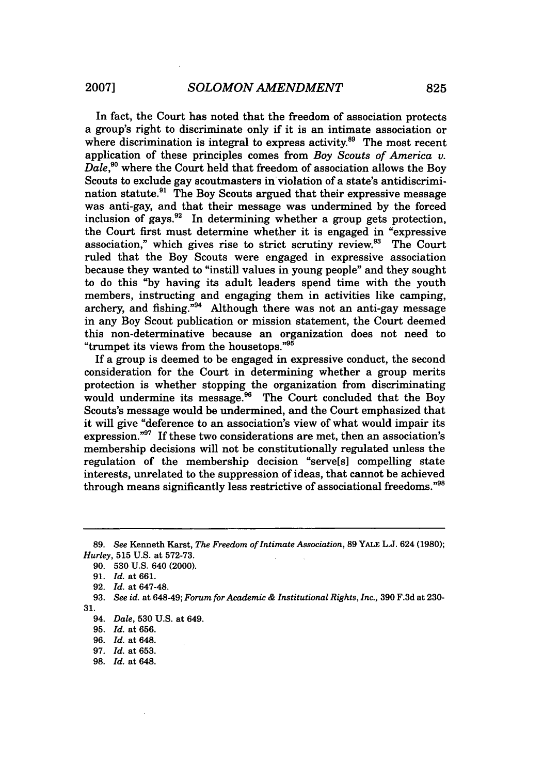In fact, the Court has noted that the freedom of association protects a group's right to discriminate only if it is an intimate association or where discrimination is integral to express activity.<sup>89</sup> The most recent application of these principles comes from *Boy Scouts of America v. Dale,9°* where the Court held that freedom of association allows the Boy Scouts to exclude gay scoutmasters in violation of a state's antidiscrimination statute.<sup>91</sup> The Boy Scouts argued that their expressive message was anti-gay, and that their message was undermined by the forced inclusion of gays. $92$  In determining whether a group gets protection, the Court first must determine whether it is engaged in "expressive association," which gives rise to strict scrutiny review.<sup>93</sup> The Court ruled that the Boy Scouts were engaged in expressive association because they wanted to "instill values in young people" and they sought to do this "by having its adult leaders spend time with the youth members, instructing and engaging them in activities like camping, archery, and fishing."<sup>94</sup> Although there was not an anti-gay message in any Boy Scout publication or mission statement, the Court deemed this non-determinative because an organization does not need to "trumpet its views from the housetops."<sup>95</sup>

If a group is deemed to be engaged in expressive conduct, the second consideration for the Court in determining whether a group merits protection is whether stopping the organization from discriminating would undermine its message.<sup>96</sup> The Court concluded that the Boy Scouts's message would be undermined, and the Court emphasized that it will give "deference to an association's view of what would impair its expression." $97$  If these two considerations are met, then an association's membership decisions will not be constitutionally regulated unless the regulation of the membership decision "serve[s] compelling state interests, unrelated to the suppression of ideas, that cannot be achieved through means significantly less restrictive of associational freedoms."<sup>98</sup>

**98.** *Id.* at 648.

<sup>89.</sup> *See* Kenneth Karst, *The Freedom of Intimate Association,* **89 YALE** L.J. 624 (1980); *Hurley,* 515 U.S. at 572-73.

<sup>90. 530</sup> U.S. 640 (2000).

**<sup>91.</sup>** *Id.* at **661.**

**<sup>92.</sup>** *Id.* at 647-48.

**<sup>93.</sup>** *See id.* at 648-49; *Forum for Academic & Institutional Rights, Inc.,* 390 F.3d at 230- 31.

<sup>94.</sup> *Dale,* **530** U.S. at 649.

**<sup>95.</sup>** *Id.* at **656.**

<sup>96.</sup> *Id.* at 648.

<sup>97.</sup> *Id.* at **653.**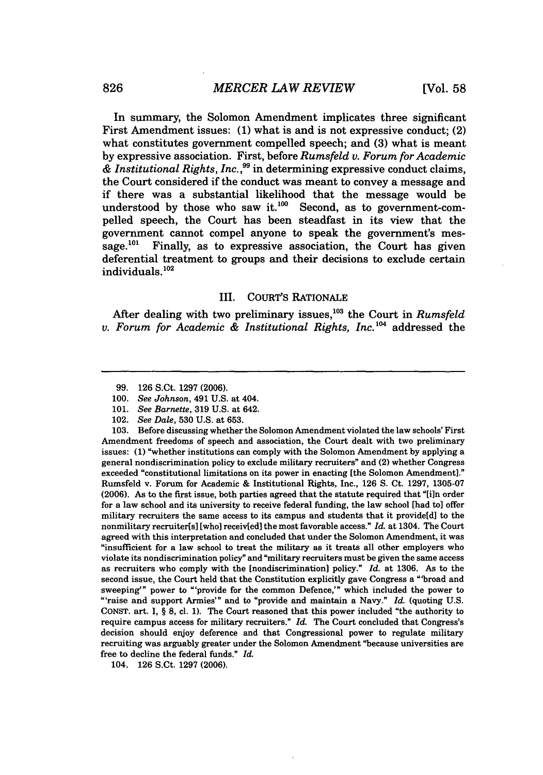In summary, the Solomon Amendment implicates three significant First Amendment issues: (1) what is and is not expressive conduct; (2) what constitutes government compelled speech; and (3) what is meant by expressive association. First, before *Rumsfeld v. Forum for Academic & Institutional Rights, Inc.,"* in determining expressive conduct claims, the Court considered if the conduct was meant to convey a message and if there was a substantial likelihood that the message would be understood by those who saw it. $100$  Second, as to government-compelled speech, the Court has been steadfast in its view that the government cannot compel anyone to speak the government's message.<sup> $101$ </sup> Finally, as to expressive association, the Court has given deferential treatment to groups and their decisions to exclude certain individuals. **<sup>102</sup>**

#### III. COURT'S RATIONALE

After dealing with two preliminary issues,<sup>103</sup> the Court in *Rumsfeld v. Forum for Academic & Institutional Rights, Inc.*<sup>104</sup> addressed the

103. Before discussing whether the Solomon Amendment violated the law schools' First Amendment freedoms of speech and association, the Court dealt with two preliminary issues: **(1)** "whether institutions can comply with the Solomon Amendment by applying a general nondiscrimination policy to exclude military recruiters" and (2) whether Congress exceeded "constitutional limitations on its power in enacting [the Solomon Amendment]." Rumsfeld v. Forum for Academic & Institutional Rights, Inc., 126 **S.** Ct. 1297, 1305-07 (2006). As to the first issue, both parties agreed that the statute required that "[i]n order for a law school and its university to receive federal funding, the law school [had to] offer military recruiters the same access to its campus and students that it provide[d] to the nonmilitary recruiter[s] [who] receiv[ed] the most favorable access." *Id.* at 1304. The Court agreed with this interpretation and concluded that under the Solomon Amendment, it was "insufficient for a law school to treat the military as it treats all other employers who violate its nondiscrimination policy" and "military recruiters must be given the same access as recruiters who comply with the [nondiscrimination] policy." *Id.* at 1306. As to the second issue, the Court held that the Constitution explicitly gave Congress a "broad and sweeping'" power to "'provide for the common Defence,'" which included the power to "'raise and support Armies'" and to "provide and maintain a Navy." *Id.* (quoting U.S. **CONST.** art. **I,** § **8,** cl. **1).** The Court reasoned that this power included "the authority to require campus access for military recruiters." *Id.* The Court concluded that Congress's decision should **enjoy** deference and that Congressional power to regulate military recruiting was arguably greater under the Solomon Amendment "because universities are free to decline the federal funds." *Id.*

104. **126** S.Ct. **1297 (2006).**

<sup>99. 126</sup> S.Ct. 1297 (2006).

<sup>100.</sup> *See Johnson,* 491 U.S. at 404.

<sup>101.</sup> *See Barnette,* 319 U.S. at 642.

<sup>102.</sup> *See Dale,* 530 U.S. at 653.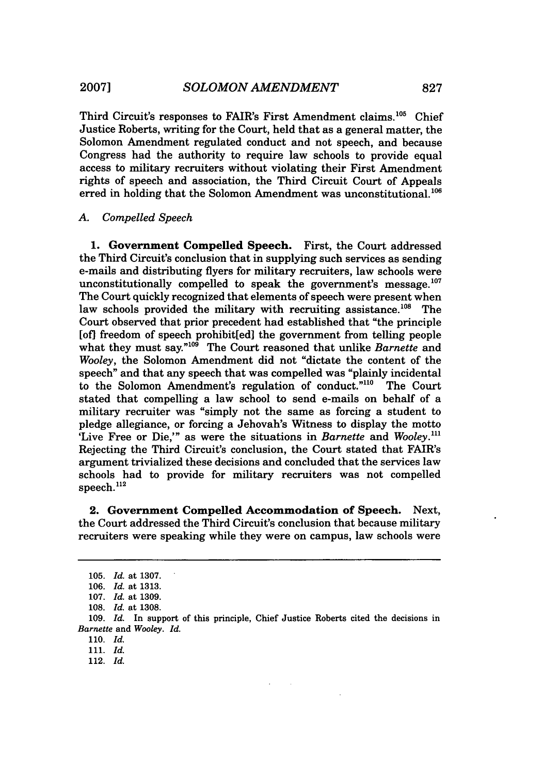Third Circuit's responses to FAIR's First Amendment claims.<sup>105</sup> Chief Justice Roberts, writing for the Court, held that as a general matter, the Solomon Amendment regulated conduct and not speech, and because Congress had the authority to require law schools to provide equal access to military recruiters without violating their First Amendment rights of speech and association, the Third Circuit Court of Appeals erred in holding that the Solomon Amendment was unconstitutional. $^{106}$ 

## *A. Compelled Speech*

1. Government Compelled Speech. First, the Court addressed the Third Circuit's conclusion that in supplying such services as sending e-mails and distributing flyers for military recruiters, law schools were unconstitutionally compelled to speak the government's message. $^{107}$ The Court quickly recognized that elements of speech were present when law schools provided the military with recruiting assistance. $^{108}$  The Court observed that prior precedent had established that "the principle [of] freedom of speech prohibit[ed] the government from telling people what they must say."<sup>109</sup> The Court reasoned that unlike *Barnette* and *Wooley,* the Solomon Amendment did not "dictate the content of the speech" and that any speech that was compelled was "plainly incidental to the Solomon Amendment's regulation of conduct."<sup>110</sup> The Court stated that compelling a law school to send e-mails on behalf of a military recruiter was "simply not the same as forcing a student to pledge allegiance, or forcing a Jehovah's Witness to display the motto 'Live Free or Die,'" as were the situations in *Barnette* and *Wooley."'* Rejecting the Third Circuit's conclusion, the Court stated that FAIR's argument trivialized these decisions and concluded that the services law schools had to provide for military recruiters was not compelled speech. $^{112}$ 

**2. Government Compelled Accommodation of Speech. Next,** the Court addressed the Third Circuit's conclusion that because military recruiters were speaking while they were on campus, law schools were

110. *Id.*

112. *Id.*

**<sup>105.</sup>** *Id.* at **1307.**

**<sup>106.</sup>** *Id.* at **1313.**

**<sup>107.</sup>** *Id.* at **1309.**

**<sup>108.</sup>** *Id.* at **1308.**

**<sup>109.</sup>** *Id.* In support of this principle, Chief Justice Roberts cited the decisions in *Barnette* and *Wooley. Id.*

<sup>111.</sup> *Id.*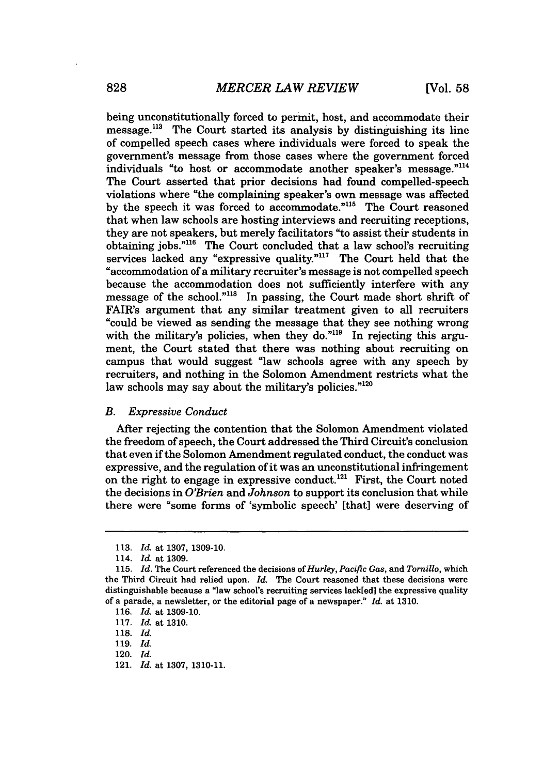being unconstitutionally forced to permit, host, and accommodate their  $message<sup>113</sup>$  The Court started its analysis by distinguishing its line of compelled speech cases where individuals were forced to speak the government's message from those cases where the government forced individuals "to host or accommodate another speaker's message."<sup>114</sup> The Court asserted that prior decisions had found compelled-speech violations where "the complaining speaker's own message was affected by the speech it was forced to accommodate."<sup>115</sup> The Court reasoned that when law schools are hosting interviews and recruiting receptions, they are not speakers, but merely facilitators "to assist their students in obtaining jobs."<sup>116</sup> The Court concluded that a law school's recruiting services lacked any "expressive quality."<sup>117</sup> The Court held that the "accommodation of a military recruiter's message is not compelled speech because the accommodation does not sufficiently interfere with any message of the school."<sup>118</sup> In passing, the Court made short shrift of FAIR's argument that any similar treatment given to all recruiters "could be viewed as sending the message that they see nothing wrong with the military's policies, when they do."<sup>119</sup> In rejecting this argument, the Court stated that there was nothing about recruiting on campus that would suggest "law schools agree with any speech by recruiters, and nothing in the Solomon Amendment restricts what the law schools may say about the military's policies."<sup>120</sup>

#### *B. Expressive Conduct*

After rejecting the contention that the Solomon Amendment violated the freedom of speech, the Court addressed the Third Circuit's conclusion that even if the Solomon Amendment regulated conduct, the conduct was expressive, and the regulation of it was an unconstitutional infringement on the right to engage in expressive conduct.<sup>121</sup> First, the Court noted the decisions in *O'Brien* and *Johnson* to support its conclusion that while there were "some forms of 'symbolic speech' [that] were deserving of

121. *Id.* at 1307, 1310-11.

<sup>113.</sup> *Id.* at 1307, 1309-10.

<sup>114.</sup> *Id.* at 1309.

<sup>115.</sup> *Id.* The Court referenced the decisions *of Hurley, Pacific Gas,* and *Tornillo,* which the Third Circuit had relied upon. *Id.* The Court reasoned that these decisions were distinguishable because a "law school's recruiting services lack[ed] the expressive quality of a parade, a newsletter, or the editorial page of a newspaper." *Id.* at 1310.

<sup>116.</sup> *Id.* at 1309-10.

<sup>117.</sup> *Id.* at 1310.

<sup>118.</sup> *Id.*

<sup>119.</sup> *Id.*

<sup>120.</sup> *Id.*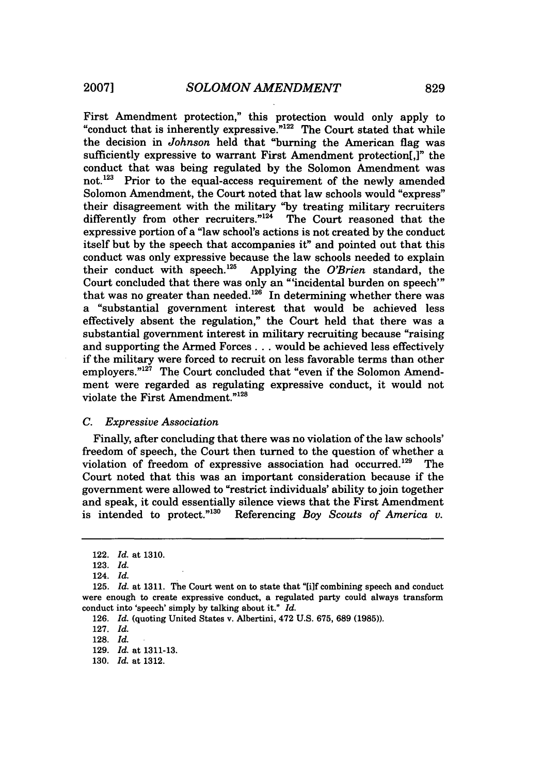First Amendment protection," this protection would only apply to "conduct that is inherently expressive."<sup>122</sup> The Court stated that while the decision in *Johnson* held that "burning the American flag was sufficiently expressive to warrant First Amendment protection[,]" the conduct that was being regulated by the Solomon Amendment was not.<sup>123</sup> Prior to the equal-access requirement of the newly amended Solomon Amendment, the Court noted that law schools would "express" their disagreement with the military "by treating military recruiters differently from other recruiters."<sup>124</sup> The Court reasoned that the expressive portion of a "law school's actions is not created **by** the conduct itself but **by** the speech that accompanies it" and pointed out that this conduct was only expressive because the law schools needed to explain their conduct with speech.'25 Applying the *O'Brien* standard, the Court concluded that there was only an "'incidental burden on speech"' that was no greater than needed. $126$  In determining whether there was a "substantial government interest that would be achieved less effectively absent the regulation," the Court held that there was a substantial government interest in military recruiting because "raising and supporting the Armed Forces **...** would be achieved less effectively if the military were forced to recruit on less favorable terms than other employers."<sup>127</sup> The Court concluded that "even if the Solomon Amendment were regarded as regulating expressive conduct, it would not violate the First Amendment."<sup>128</sup>

#### *C. Expressive Association*

Finally, after concluding that there was no violation of the law schools' freedom of speech, the Court then turned to the question of whether a violation of freedom of expressive association had occurred. 129 The Court noted that this was an important consideration because if the government were allowed to "restrict individuals' ability to join together and speak, it could essentially silence views that the First Amendment is intended to protect."<sup>130</sup> Referencing *Boy Scouts of America v*. Referencing *Boy Scouts of America v.* 

127. *Id.*

<sup>122.</sup> *Id.* at 1310.

<sup>123.</sup> *Id.*

<sup>124.</sup> *Id.*

**<sup>125.</sup>** *Id.* at 1311. The Court went on to state that **"[i]f** combining speech and conduct were enough to create expressive conduct, a regulated party could always transform conduct into 'speech' simply by talking about it." *Id.*

<sup>126.</sup> *Id.* (quoting United States v. Albertini, 472 U.S. 675, 689 (1985)).

<sup>128.</sup> *Id.*

<sup>129.</sup> *Id.* at 1311-13.

<sup>130.</sup> *Id.* at 1312.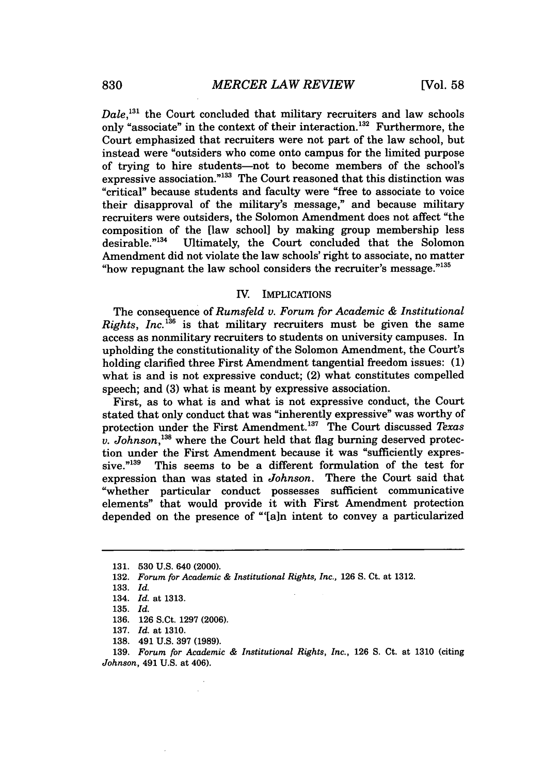Dale,<sup>131</sup> the Court concluded that military recruiters and law schools only "associate" in the context of their interaction.<sup>132</sup> Furthermore, the Court emphasized that recruiters were not part of the law school, but instead were "outsiders who come onto campus for the limited purpose of trying to hire students-not to become members of the school's expressive association."<sup>133</sup> The Court reasoned that this distinction was "critical" because students and faculty were "free to associate to voice their disapproval of the military's message," and because military recruiters were outsiders, the Solomon Amendment does not affect "the composition of the  $\lceil$ law school] by making group membership less<br>desirable.<sup>"134</sup> Ultimately, the Court concluded that the Solomon Ultimately, the Court concluded that the Solomon Amendment did not violate the law schools' right to associate, no matter "how repugnant the law school considers the recruiter's message."135

#### IV. IMPLICATIONS

The consequence of *Rumsfeld v. Forum for Academic & Institutional Rights, Inc.*<sup>136</sup> is that military recruiters must be given the same access as nonmilitary recruiters to students on university campuses. In upholding the constitutionality of the Solomon Amendment, the Court's holding clarified three First Amendment tangential freedom issues: (1) what is and is not expressive conduct; (2) what constitutes compelled speech; and (3) what is meant by expressive association.

First, as to what is and what is not expressive conduct, the Court stated that only conduct that was "inherently expressive" was worthy of protection under the First Amendment. 137 The Court discussed *Texas v. Johnson*,<sup>138</sup> where the Court held that flag burning deserved protection under the First Amendment because it was "sufficiently expressive."<sup>139</sup> This seems to be a different formulation of the test for expression than was stated in *Johnson.* There the Court said that "whether particular conduct possesses sufficient communicative elements" that would provide it with First Amendment protection depended on the presence of "[a]n intent to convey a particularized

**139.** *Forum for Academic & Institutional Rights, Inc.,* 126 S. Ct. at 1310 (citing *Johnson,* 491 U.S. at 406).

<sup>131. 530</sup> U.S. 640 (2000).

<sup>132.</sup> *Forum for Academic & Institutional Rights, Inc.,* 126 S. Ct. at 1312.

<sup>133.</sup> *Id.*

<sup>134.</sup> *Id.* at 1313.

<sup>135.</sup> *Id.*

<sup>136. 126</sup> S.Ct. 1297 (2006).

<sup>137.</sup> *Id.* at 1310.

**<sup>138.</sup>** 491 **U.S. 397 (1989).**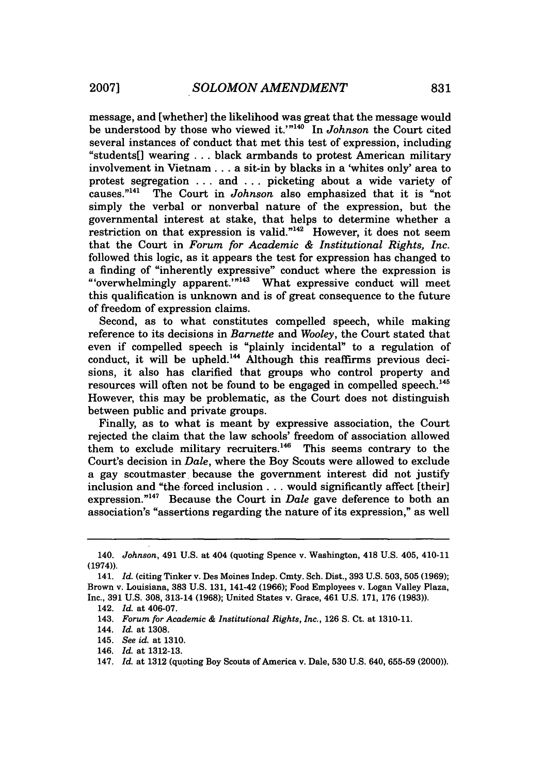message, and [whether] the likelihood was great that the message would be understood by those who viewed it.'"<sup>140</sup> In *Johnson* the Court cited several instances of conduct that met this test of expression, including "students[] wearing . .. black armbands to protest American military involvement in Vietnam... a sit-in by blacks in a 'whites only' area to protest segregation  $\dots$  and  $\dots$  picketing about a wide variety of causes.<sup>"141</sup> The Court in *Johnson* also emphasized that it is "not The Court in *Johnson* also emphasized that it is "not simply the verbal or nonverbal nature of the expression, but the governmental interest at stake, that helps to determine whether a restriction on that expression is valid."<sup>142</sup> However, it does not seem that the Court in *Forum for Academic & Institutional Rights, Inc.* followed this logic, as it appears the test for expression has changed to a finding of "inherently expressive" conduct where the expression is "'overwhelmingly apparent.'"<sup>143</sup> What expressive conduct will meet this qualification is unknown and is of great consequence to the future of freedom of expression claims.

Second, as to what constitutes compelled speech, while making reference to its decisions in *Barnette* and *Wooley,* the Court stated that even if compelled speech is "plainly incidental" to a regulation of conduct, it will be upheld.<sup>144</sup> Although this reaffirms previous decisions, it also has clarified that groups who control property and resources will often not be found to be engaged in compelled speech.'45 However, this may be problematic, as the Court does not distinguish between public and private groups.

Finally, as to what is meant by expressive association, the Court rejected the claim that the law schools' freedom of association allowed them to exclude military recruiters.<sup>146</sup> This seems contrary to the Court's decision in *Dale,* where the Boy Scouts were allowed to exclude a gay scoutmaster because the government interest did not justify inclusion and "the forced inclusion **...** would significantly affect [their] expression.<sup>"147</sup> Because the Court in *Dale* gave deference to both an association's "assertions regarding the nature of its expression," as well

<sup>140.</sup> *Johnson,* 491 U.S. at 404 (quoting Spence v. Washington, 418 U.S. 405, 410-11 (1974)).

<sup>141.</sup> *Id.* (citing Tinker v. Des Moines Indep. Cmty. Sch. Dist., 393 U.S. 503, 505 (1969); Brown v. Louisiana, **383** U.S. 131, 141-42 (1966); Food Employees v. Logan Valley Plaza, Inc., 391 U.S. 308, 313-14 (1968); United States v. Grace, 461 U.S. 171, 176 (1983)).

<sup>142.</sup> *Id.* at 406-07.

<sup>143.</sup> *Forum for Academic & Institutional Rights, Inc.,* 126 **S.** Ct. at 1310-11.

<sup>144.</sup> *Id.* at 1308.

<sup>145.</sup> *See id.* at 1310.

<sup>146.</sup> *Id.* at 1312-13.

<sup>147.</sup> *Id.* at 1312 (quoting Boy Scouts of America v. Dale, 530 U.S. 640, 655-59 (2000)).